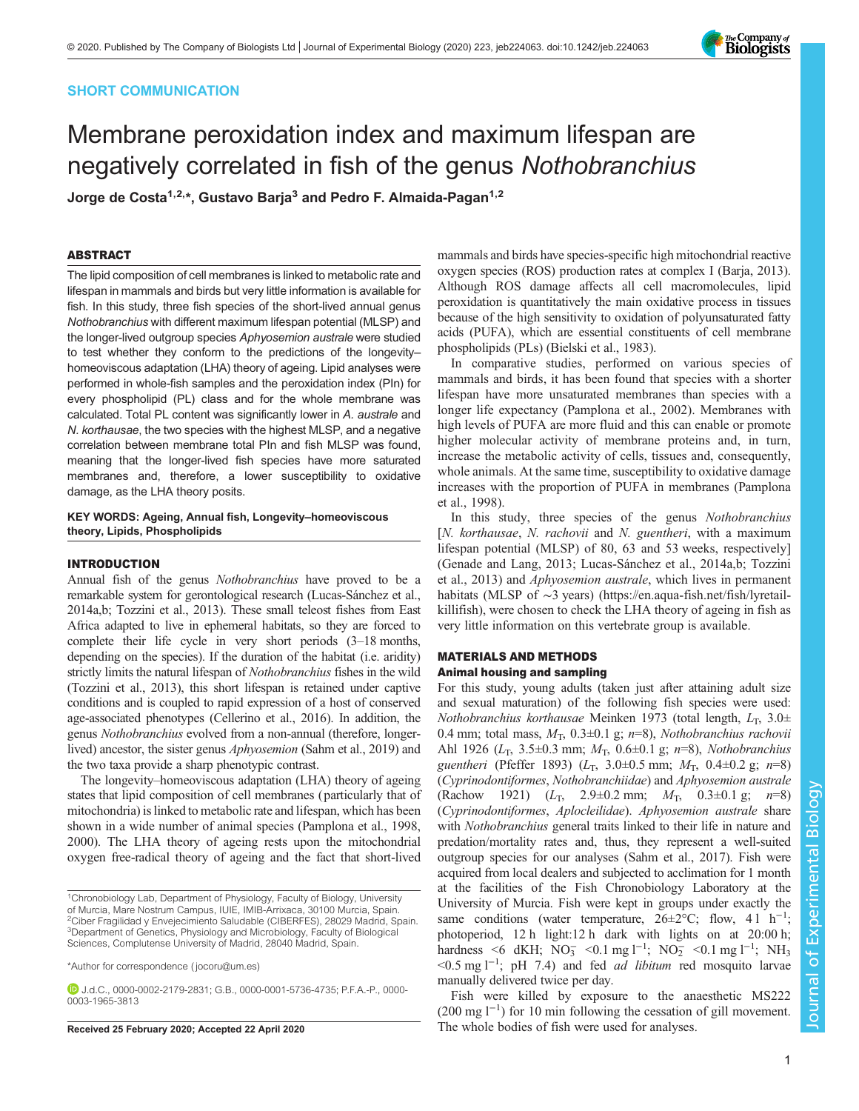# SHORT COMMUNICATION

# Membrane peroxidation index and maximum lifespan are negatively correlated in fish of the genus Nothobranchius

Jorge de Costa<sup>1,2,\*</sup>, Gustavo Barja<sup>3</sup> and Pedro F. Almaida-Pagan<sup>1,2</sup>

# ABSTRACT

The lipid composition of cell membranes is linked to metabolic rate and lifespan in mammals and birds but very little information is available for fish. In this study, three fish species of the short-lived annual genus Nothobranchius with different maximum lifespan potential (MLSP) and the longer-lived outgroup species Aphyosemion australe were studied to test whether they conform to the predictions of the longevity– homeoviscous adaptation (LHA) theory of ageing. Lipid analyses were performed in whole-fish samples and the peroxidation index (PIn) for every phospholipid (PL) class and for the whole membrane was calculated. Total PL content was significantly lower in A. australe and N. korthausae, the two species with the highest MLSP, and a negative correlation between membrane total PIn and fish MLSP was found, meaning that the longer-lived fish species have more saturated membranes and, therefore, a lower susceptibility to oxidative damage, as the LHA theory posits.

## KEY WORDS: Ageing, Annual fish, Longevity–homeoviscous theory, Lipids, Phospholipids

## INTRODUCTION

Annual fish of the genus Nothobranchius have proved to be a remarkable system for gerontological research [\(Lucas-Sánchez et al.,](#page-4-0) [2014a](#page-4-0),[b](#page-4-0); [Tozzini et al., 2013](#page-4-0)). These small teleost fishes from East Africa adapted to live in ephemeral habitats, so they are forced to complete their life cycle in very short periods (3–18 months, depending on the species). If the duration of the habitat (i.e. aridity) strictly limits the natural lifespan of Nothobranchius fishes in the wild [\(Tozzini et al., 2013](#page-4-0)), this short lifespan is retained under captive conditions and is coupled to rapid expression of a host of conserved age-associated phenotypes [\(Cellerino et al., 2016\)](#page-3-0). In addition, the genus Nothobranchius evolved from a non-annual (therefore, longerlived) ancestor, the sister genus Aphyosemion ([Sahm et al., 2019](#page-4-0)) and the two taxa provide a sharp phenotypic contrast.

The longevity–homeoviscous adaptation (LHA) theory of ageing states that lipid composition of cell membranes (particularly that of mitochondria) is linked to metabolic rate and lifespan, which has been shown in a wide number of animal species [\(Pamplona et al., 1998,](#page-4-0) [2000\)](#page-4-0). The LHA theory of ageing rests upon the mitochondrial oxygen free-radical theory of ageing and the fact that short-lived

\*Author for correspondence [\( jocoru@um.es](mailto:jocoru@um.es))

J.d.C., [0000-0002-2179-2831](http://orcid.org/0000-0002-2179-2831); G.B., [0000-0001-5736-4735;](http://orcid.org/0000-0001-5736-4735) P.F.A.-P., [0000-](http://orcid.org/0000-0003-1965-3813) [0003-1965-3813](http://orcid.org/0000-0003-1965-3813)

mammals and birds have species-specific high mitochondrial reactive oxygen species (ROS) production rates at complex I ([Barja, 2013\)](#page-3-0). Although ROS damage affects all cell macromolecules, lipid peroxidation is quantitatively the main oxidative process in tissues because of the high sensitivity to oxidation of polyunsaturated fatty acids (PUFA), which are essential constituents of cell membrane phospholipids (PLs) ([Bielski et al., 1983\)](#page-3-0).

In comparative studies, performed on various species of mammals and birds, it has been found that species with a shorter lifespan have more unsaturated membranes than species with a longer life expectancy ([Pamplona et al., 2002](#page-4-0)). Membranes with high levels of PUFA are more fluid and this can enable or promote higher molecular activity of membrane proteins and, in turn, increase the metabolic activity of cells, tissues and, consequently, whole animals. At the same time, susceptibility to oxidative damage increases with the proportion of PUFA in membranes [\(Pamplona](#page-4-0) [et al., 1998\)](#page-4-0).

In this study, three species of the genus Nothobranchius [N. korthausae, N. rachovii and N. guentheri, with a maximum lifespan potential (MLSP) of 80, 63 and 53 weeks, respectively] [\(Genade and Lang, 2013](#page-3-0); [Lucas-Sánchez et al., 2014a](#page-4-0),[b; Tozzini](#page-4-0) [et al., 2013](#page-4-0)) and Aphyosemion australe, which lives in permanent habitats (MLSP of ∼3 years) [\(https://en.aqua-fish.net/fish/lyretail](https://en.aqua-fish.net/fish/lyretail-killifish)[killifish](https://en.aqua-fish.net/fish/lyretail-killifish)), were chosen to check the LHA theory of ageing in fish as very little information on this vertebrate group is available.

# MATERIALS AND METHODS Animal housing and sampling

For this study, young adults (taken just after attaining adult size and sexual maturation) of the following fish species were used: Nothobranchius korthausae Meinken 1973 (total length,  $L_T$ , 3.0 $\pm$ 0.4 mm; total mass,  $M_T$ , 0.3 $\pm$ 0.1 g; n=8), Nothobranchius rachovii Ahl 1926 ( $L_T$ , 3.5 $\pm$ 0.3 mm;  $M_T$ , 0.6 $\pm$ 0.1 g; n=8), Nothobranchius guentheri (Pfeffer 1893) ( $L_T$ , 3.0 $\pm$ 0.5 mm;  $M_T$ , 0.4 $\pm$ 0.2 g; n=8) (Cyprinodontiformes, Nothobranchiidae) and Aphyosemion australe (Rachow 1921)  $(L_T, 2.9 \pm 0.2 \text{ mm}; M_T, 0.3 \pm 0.1 \text{ g}; n = 8)$ (Cyprinodontiformes, Aplocleilidae). Aphyosemion australe share with Nothobranchius general traits linked to their life in nature and predation/mortality rates and, thus, they represent a well-suited outgroup species for our analyses [\(Sahm et al., 2017](#page-4-0)). Fish were acquired from local dealers and subjected to acclimation for 1 month at the facilities of the Fish Chronobiology Laboratory at the University of Murcia. Fish were kept in groups under exactly the same conditions (water temperature,  $26 \pm 2^{\circ}$ C; flow, 41 h<sup>-1</sup>; photoperiod, 12 h light:12 h dark with lights on at 20:00 h; hardness <6 dKH;  $NO_3^-$  <0.1 mg l<sup>-1</sup>;  $NO_2^-$  <0.1 mg l<sup>-1</sup>;  $NH_3$ <0.5 mg l−<sup>1</sup> ; pH 7.4) and fed ad libitum red mosquito larvae manually delivered twice per day.

Fish were killed by exposure to the anaesthetic MS222 (200 mg l−<sup>1</sup> ) for 10 min following the cessation of gill movement. Received 25 February 2020; Accepted 22 April 2020 The whole bodies of fish were used for analyses.



<sup>&</sup>lt;sup>1</sup>Chronobiology Lab, Department of Physiology, Faculty of Biology, University of Murcia, Mare Nostrum Campus, IUIE, IMIB-Arrixaca, 30100 Murcia, Spain. <sup>2</sup>Ciber Fragilidad y Envejecimiento Saludable (CIBERFES), 28029 Madrid, Spain. <sup>3</sup>Department of Genetics, Physiology and Microbiology, Faculty of Biological Sciences, Complutense University of Madrid, 28040 Madrid, Spain.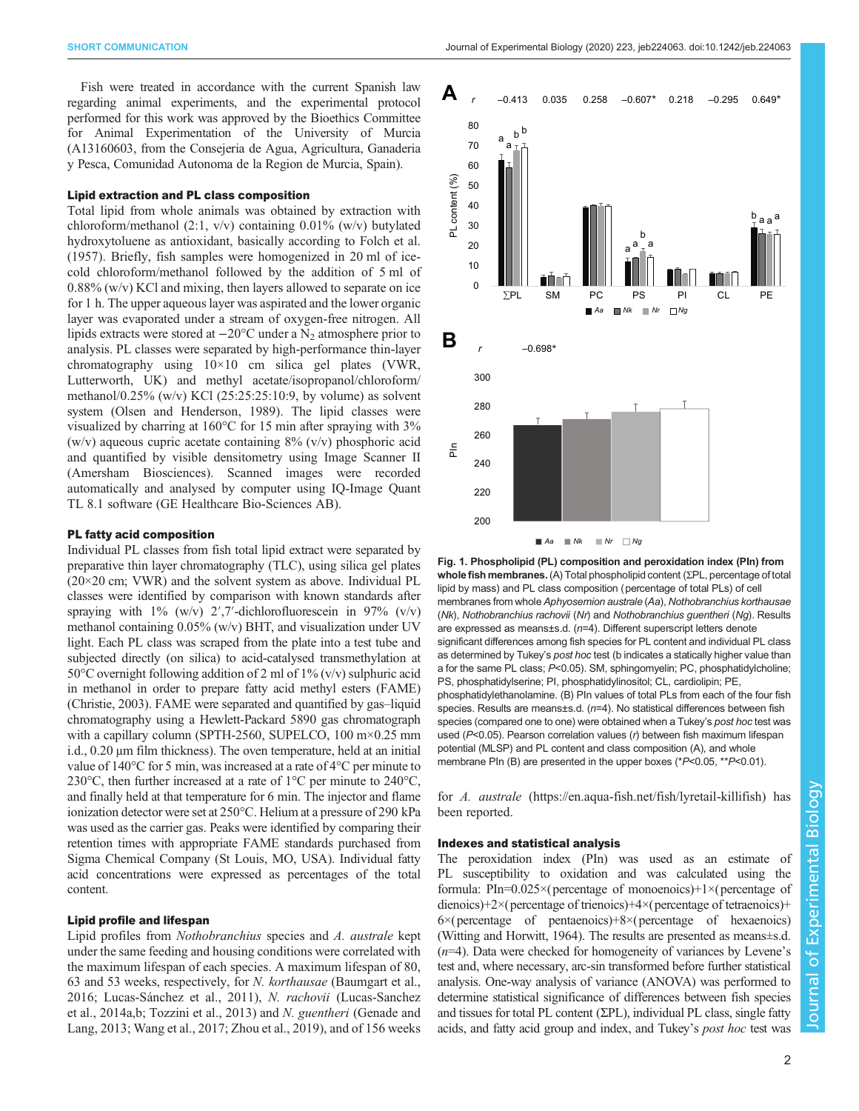<span id="page-1-0"></span>Fish were treated in accordance with the current Spanish law regarding animal experiments, and the experimental protocol performed for this work was approved by the Bioethics Committee for Animal Experimentation of the University of Murcia (A13160603, from the Consejeria de Agua, Agricultura, Ganaderia y Pesca, Comunidad Autonoma de la Region de Murcia, Spain).

## Lipid extraction and PL class composition

Total lipid from whole animals was obtained by extraction with chloroform/methanol  $(2:1, v/v)$  containing 0.01% (w/v) butylated hydroxytoluene as antioxidant, basically according to [Folch et al.](#page-3-0) [\(1957\)](#page-3-0). Briefly, fish samples were homogenized in 20 ml of icecold chloroform/methanol followed by the addition of 5 ml of 0.88% (w/v) KCl and mixing, then layers allowed to separate on ice for 1 h. The upper aqueous layer was aspirated and the lower organic layer was evaporated under a stream of oxygen-free nitrogen. All lipids extracts were stored at  $-20^{\circ}$ C under a N<sub>2</sub> atmosphere prior to analysis. PL classes were separated by high-performance thin-layer chromatography using 10×10 cm silica gel plates (VWR, Lutterworth, UK) and methyl acetate/isopropanol/chloroform/ methanol/0.25% (w/v) KCl (25:25:25:10:9, by volume) as solvent system [\(Olsen and Henderson, 1989\)](#page-4-0). The lipid classes were visualized by charring at 160°C for 15 min after spraying with 3% (w/v) aqueous cupric acetate containing  $8\%$  (v/v) phosphoric acid and quantified by visible densitometry using Image Scanner II (Amersham Biosciences). Scanned images were recorded automatically and analysed by computer using IQ-Image Quant TL 8.1 software (GE Healthcare Bio-Sciences AB).

## PL fatty acid composition

Individual PL classes from fish total lipid extract were separated by preparative thin layer chromatography (TLC), using silica gel plates  $(20\times20 \text{ cm};$  VWR) and the solvent system as above. Individual PL classes were identified by comparison with known standards after spraying with  $1\%$  (w/v)  $2\frac{7}{1}$ -dichlorofluorescein in 97% (v/v) methanol containing 0.05% (w/v) BHT, and visualization under UV light. Each PL class was scraped from the plate into a test tube and subjected directly (on silica) to acid-catalysed transmethylation at 50°C overnight following addition of 2 ml of 1% (v/v) sulphuric acid in methanol in order to prepare fatty acid methyl esters (FAME) [\(Christie, 2003\)](#page-3-0). FAME were separated and quantified by gas–liquid chromatography using a Hewlett-Packard 5890 gas chromatograph with a capillary column (SPTH-2560, SUPELCO, 100 m×0.25 mm i.d., 0.20 μm film thickness). The oven temperature, held at an initial value of 140°C for 5 min, was increased at a rate of 4°C per minute to 230°C, then further increased at a rate of 1°C per minute to 240°C, and finally held at that temperature for 6 min. The injector and flame ionization detector were set at 250°C. Helium at a pressure of 290 kPa was used as the carrier gas. Peaks were identified by comparing their retention times with appropriate FAME standards purchased from Sigma Chemical Company (St Louis, MO, USA). Individual fatty acid concentrations were expressed as percentages of the total content.

#### Lipid profile and lifespan

Lipid profiles from Nothobranchius species and A. australe kept under the same feeding and housing conditions were correlated with the maximum lifespan of each species. A maximum lifespan of 80, 63 and 53 weeks, respectively, for N. korthausae [\(Baumgart et al.,](#page-3-0) [2016](#page-3-0); [Lucas-Sánchez et al., 2011](#page-4-0)), N. rachovii ([Lucas-Sanchez](#page-4-0) [et al., 2014a](#page-4-0),[b; Tozzini et al., 2013\)](#page-4-0) and N. guentheri [\(Genade and](#page-3-0) [Lang, 2013;](#page-3-0) [Wang et al., 2017](#page-4-0); [Zhou et al., 2019\)](#page-4-0), and of 156 weeks



Fig. 1. Phospholipid (PL) composition and peroxidation index (PIn) from whole fish membranes. (A) Total phospholipid content (ΣPL, percentage of total lipid by mass) and PL class composition (percentage of total PLs) of cell membranes from whole Aphyosemion australe (Aa), Nothobranchius korthausae (Nk), Nothobranchius rachovii (Nr) and Nothobranchius guentheri (Ng). Results are expressed as means±s.d. (n=4). Different superscript letters denote significant differences among fish species for PL content and individual PL class as determined by Tukey's post hoc test (b indicates a statically higher value than a for the same PL class; P<0.05). SM, sphingomyelin; PC, phosphatidylcholine; PS, phosphatidylserine; PI, phosphatidylinositol; CL, cardiolipin; PE, phosphatidylethanolamine. (B) PIn values of total PLs from each of the four fish species. Results are means±s.d. (n=4). No statistical differences between fish species (compared one to one) were obtained when a Tukey's post hoc test was used (P<0.05). Pearson correlation values (r) between fish maximum lifespan potential (MLSP) and PL content and class composition (A), and whole membrane PIn (B) are presented in the upper boxes (\*P<0.05, \*\*P<0.01).

for A. australe [\(https://en.aqua-fish.net/fish/lyretail-killifish](https://en.aqua-fish.net/fish/lyretail-killifish)) has been reported.

## Indexes and statistical analysis

The peroxidation index (PIn) was used as an estimate of PL susceptibility to oxidation and was calculated using the formula: PIn= $0.025 \times$ (percentage of monoenoics)+1 $\times$ (percentage of dienoics)+2×(percentage of trienoics)+4×(percentage of tetraenoics)+  $6\times$ (percentage of pentaenoics)+8 $\times$ (percentage of hexaenoics) [\(Witting and Horwitt, 1964](#page-4-0)). The results are presented as means±s.d.  $(n=4)$ . Data were checked for homogeneity of variances by Levene's test and, where necessary, arc-sin transformed before further statistical analysis. One-way analysis of variance (ANOVA) was performed to determine statistical significance of differences between fish species and tissues for total PL content (ΣPL), individual PL class, single fatty acids, and fatty acid group and index, and Tukey's post hoc test was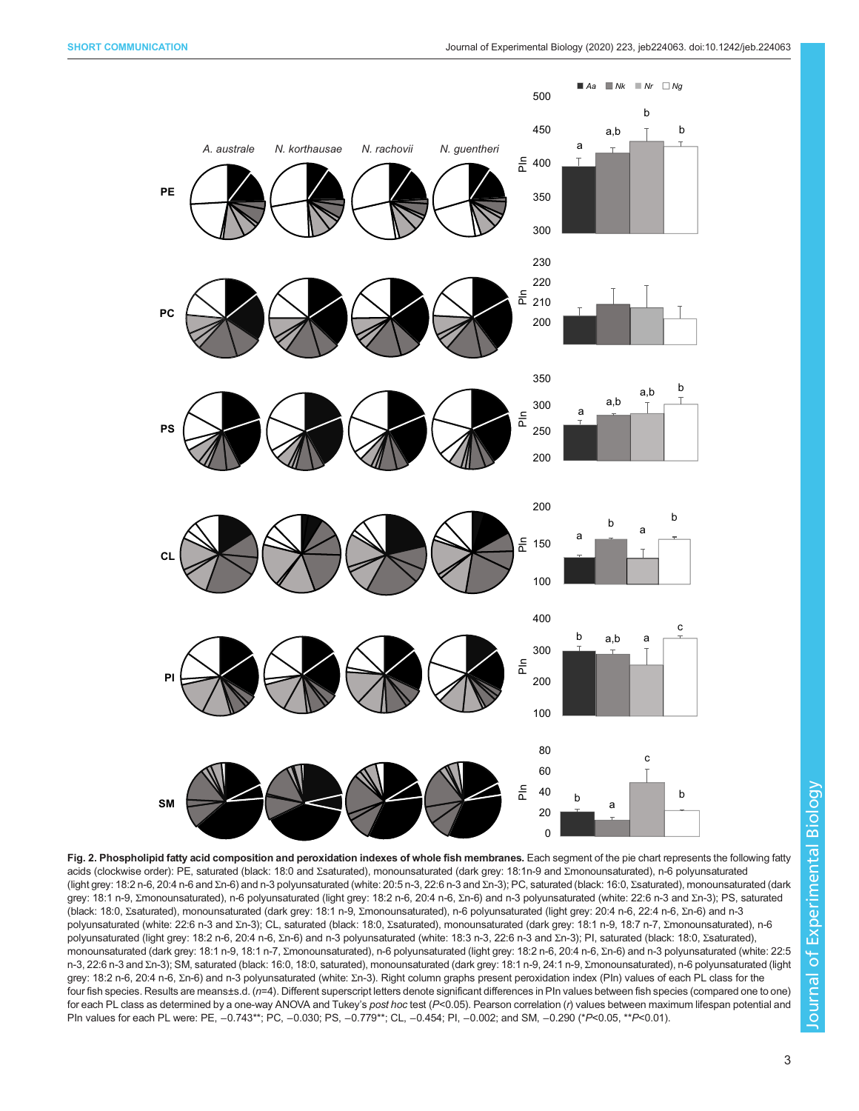<span id="page-2-0"></span>

Fig. 2. Phospholipid fatty acid composition and peroxidation indexes of whole fish membranes. Each segment of the pie chart represents the following fatty acids (clockwise order): PE, saturated (black: 18:0 and Σsaturated), monounsaturated (dark grey: 18:1n-9 and Σmonounsaturated), n-6 polyunsaturated (light grey: 18:2 n-6, 20:4 n-6 and Σn-6) and n-3 polyunsaturated (white: 20:5 n-3, 22:6 n-3 and Σn-3); PC, saturated (black: 16:0, Σsaturated), monounsaturated (dark grey: 18:1 n-9, Σmonounsaturated), n-6 polyunsaturated (light grey: 18:2 n-6, 20:4 n-6, Σn-6) and n-3 polyunsaturated (white: 22:6 n-3 and Σn-3); PS, saturated (black: 18:0, Σsaturated), monounsaturated (dark grey: 18:1 n-9, Σmonounsaturated), n-6 polyunsaturated (light grey: 20:4 n-6, 22:4 n-6, Σn-6) and n-3 polyunsaturated (white: 22:6 n-3 and Σn-3); CL, saturated (black: 18:0, Σsaturated), monounsaturated (dark grey: 18:1 n-9, 18:7 n-7, Σmonounsaturated), n-6 polyunsaturated (light grey: 18:2 n-6, 20:4 n-6, Σn-6) and n-3 polyunsaturated (white: 18:3 n-3, 22:6 n-3 and Σn-3); PI, saturated (black: 18:0, Σsaturated), monounsaturated (dark grey: 18:1 n-9, 18:1 n-7, Σmonounsaturated), n-6 polyunsaturated (light grey: 18:2 n-6, 20:4 n-6, Σn-6) and n-3 polyunsaturated (white: 22:5 n-3, 22:6 n-3 and Σn-3); SM, saturated (black: 16:0, 18:0, saturated), monounsaturated (dark grey: 18:1 n-9, 24:1 n-9, Σmonounsaturated), n-6 polyunsaturated (light grey: 18:2 n-6, 20:4 n-6, Σn-6) and n-3 polyunsaturated (white: Σn-3). Right column graphs present peroxidation index (Pln) values of each PL class for the four fish species. Results are means±s.d. (n=4). Different superscript letters denote significant differences in PIn values between fish species (compared one to one) for each PL class as determined by a one-way ANOVA and Tukey's post hoc test  $(P< 0.05)$ . Pearson correlation (r) values between maximum lifespan potential and PIn values for each PL were: PE, -0.743\*\*; PC, -0.030; PS, -0.779\*\*; CL, -0.454; PI, -0.002; and SM, -0.290 (\*P<0.05, \*\*P<0.01).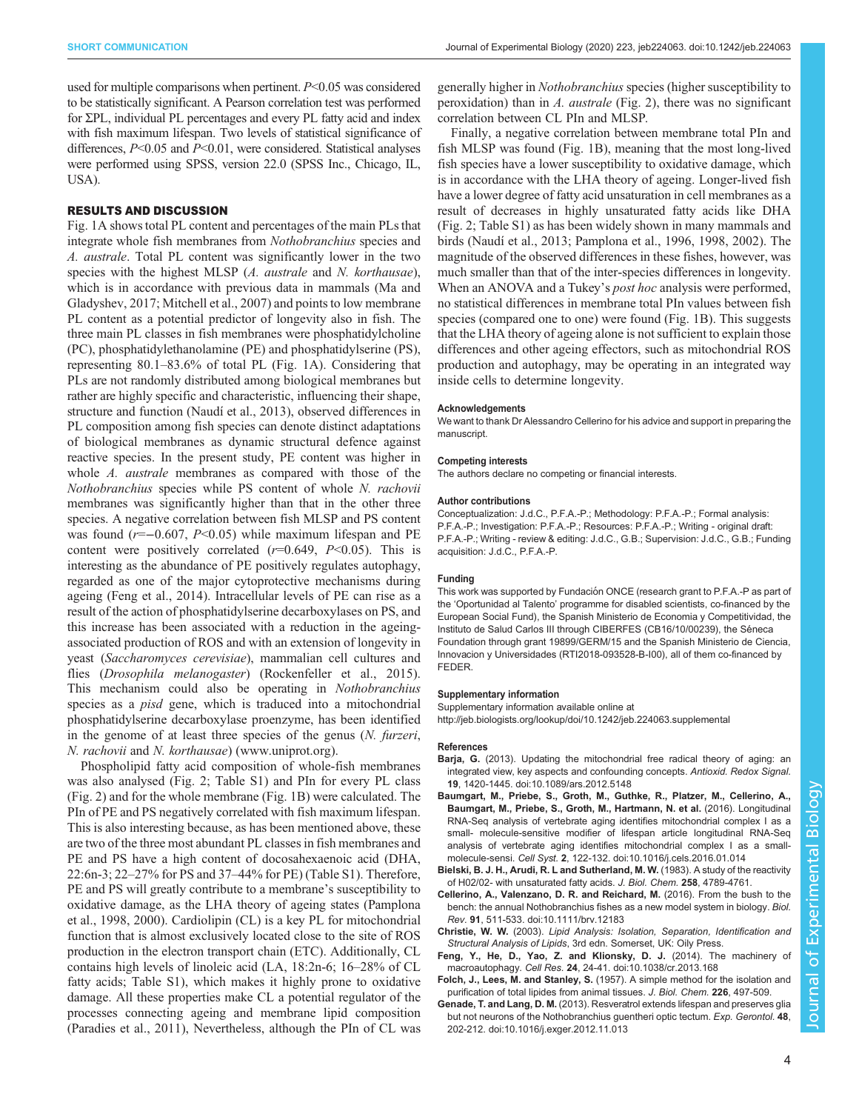<span id="page-3-0"></span>used for multiple comparisons when pertinent. P<0.05 was considered to be statistically significant. A Pearson correlation test was performed for ΣPL, individual PL percentages and every PL fatty acid and index with fish maximum lifespan. Two levels of statistical significance of differences,  $P<0.05$  and  $P<0.01$ , were considered. Statistical analyses were performed using SPSS, version 22.0 (SPSS Inc., Chicago, IL, USA).

## RESULTS AND DISCUSSION

[Fig. 1A](#page-1-0) shows total PL content and percentages of the main PLs that integrate whole fish membranes from Nothobranchius species and A. australe. Total PL content was significantly lower in the two species with the highest MLSP (A. australe and N. korthausae), which is in accordance with previous data in mammals [\(Ma and](#page-4-0) [Gladyshev, 2017](#page-4-0); [Mitchell et al., 2007](#page-4-0)) and points to low membrane PL content as a potential predictor of longevity also in fish. The three main PL classes in fish membranes were phosphatidylcholine (PC), phosphatidylethanolamine (PE) and phosphatidylserine (PS), representing 80.1–83.6% of total PL [\(Fig. 1](#page-1-0)A). Considering that PLs are not randomly distributed among biological membranes but rather are highly specific and characteristic, influencing their shape, structure and function [\(Naudí et al., 2013](#page-4-0)), observed differences in PL composition among fish species can denote distinct adaptations of biological membranes as dynamic structural defence against reactive species. In the present study, PE content was higher in whole A. *australe* membranes as compared with those of the Nothobranchius species while PS content of whole N. rachovii membranes was significantly higher than that in the other three species. A negative correlation between fish MLSP and PS content was found (r=−0.607, P<0.05) while maximum lifespan and PE content were positively correlated  $(r=0.649, P<0.05)$ . This is interesting as the abundance of PE positively regulates autophagy, regarded as one of the major cytoprotective mechanisms during ageing (Feng et al., 2014). Intracellular levels of PE can rise as a result of the action of phosphatidylserine decarboxylases on PS, and this increase has been associated with a reduction in the ageingassociated production of ROS and with an extension of longevity in yeast (Saccharomyces cerevisiae), mammalian cell cultures and flies (Drosophila melanogaster) [\(Rockenfeller et al., 2015\)](#page-4-0). This mechanism could also be operating in Nothobranchius species as a *pisd* gene, which is traduced into a mitochondrial phosphatidylserine decarboxylase proenzyme, has been identified in the genome of at least three species of the genus (N. furzeri, N. rachovii and N. korthausae) [\(www.uniprot.org\)](http://www.uniprot.org).

Phospholipid fatty acid composition of whole-fish membranes was also analysed [\(Fig. 2](#page-2-0); [Table S1](http://jeb.biologists.org/lookup/doi/10.1242/jeb.224063.supplemental)) and PIn for every PL class [\(Fig. 2\)](#page-2-0) and for the whole membrane ([Fig. 1B](#page-1-0)) were calculated. The PIn of PE and PS negatively correlated with fish maximum lifespan. This is also interesting because, as has been mentioned above, these are two of the three most abundant PL classes in fish membranes and PE and PS have a high content of docosahexaenoic acid (DHA, 22:6n-3; 22–27% for PS and 37–44% for PE) ([Table S1\)](http://jeb.biologists.org/lookup/doi/10.1242/jeb.224063.supplemental). Therefore, PE and PS will greatly contribute to a membrane's susceptibility to oxidative damage, as the LHA theory of ageing states [\(Pamplona](#page-4-0) [et al., 1998](#page-4-0), [2000](#page-4-0)). Cardiolipin (CL) is a key PL for mitochondrial function that is almost exclusively located close to the site of ROS production in the electron transport chain (ETC). Additionally, CL contains high levels of linoleic acid (LA, 18:2n-6; 16–28% of CL fatty acids; [Table S1\)](http://jeb.biologists.org/lookup/doi/10.1242/jeb.224063.supplemental), which makes it highly prone to oxidative damage. All these properties make CL a potential regulator of the processes connecting ageing and membrane lipid composition [\(Paradies et al., 2011](#page-4-0)), Nevertheless, although the PIn of CL was

generally higher in Nothobranchius species (higher susceptibility to peroxidation) than in A. *australe* [\(Fig. 2\)](#page-2-0), there was no significant correlation between CL PIn and MLSP.

Finally, a negative correlation between membrane total PIn and fish MLSP was found [\(Fig. 1B](#page-1-0)), meaning that the most long-lived fish species have a lower susceptibility to oxidative damage, which is in accordance with the LHA theory of ageing. Longer-lived fish have a lower degree of fatty acid unsaturation in cell membranes as a result of decreases in highly unsaturated fatty acids like DHA [\(Fig. 2;](#page-2-0) [Table S1\)](http://jeb.biologists.org/lookup/doi/10.1242/jeb.224063.supplemental) as has been widely shown in many mammals and birds ([Naudí et al., 2013; Pamplona et al., 1996](#page-4-0), [1998](#page-4-0), [2002](#page-4-0)). The magnitude of the observed differences in these fishes, however, was much smaller than that of the inter-species differences in longevity. When an ANOVA and a Tukey's *post hoc* analysis were performed, no statistical differences in membrane total PIn values between fish species (compared one to one) were found ([Fig. 1B](#page-1-0)). This suggests that the LHA theory of ageing alone is not sufficient to explain those differences and other ageing effectors, such as mitochondrial ROS production and autophagy, may be operating in an integrated way inside cells to determine longevity.

#### Acknowledgements

We want to thank Dr Alessandro Cellerino for his advice and support in preparing the manuscript.

#### Competing interests

The authors declare no competing or financial interests.

#### Author contributions

Conceptualization: J.d.C., P.F.A.-P.; Methodology: P.F.A.-P.; Formal analysis: P.F.A.-P.; Investigation: P.F.A.-P.; Resources: P.F.A.-P.; Writing - original draft: P.F.A.-P.; Writing - review & editing: J.d.C., G.B.; Supervision: J.d.C., G.B.; Funding acquisition: J.d.C., P.F.A.-P.

#### Funding

This work was supported by Fundación ONCE (research grant to P.F.A.-P as part of the 'Oportunidad al Talento' programme for disabled scientists, co-financed by the European Social Fund), the Spanish Ministerio de Economia y Competitividad, the Instituto de Salud Carlos III through CIBERFES (CB16/10/00239), the Séneca Foundation through grant 19899/GERM/15 and the Spanish Ministerio de Ciencia, Innovacion y Universidades (RTI2018-093528-B-I00), all of them co-financed by FEDER.

#### Supplementary information

Supplementary information available online at <http://jeb.biologists.org/lookup/doi/10.1242/jeb.224063.supplemental>

#### References

- Barja, G. [\(2013\). Updating the mitochondrial free radical theory of aging: an](https://doi.org/10.1089/ars.2012.5148) [integrated view, key aspects and confounding concepts.](https://doi.org/10.1089/ars.2012.5148) Antioxid. Redox Signal. 19[, 1420-1445. doi:10.1089/ars.2012.5148](https://doi.org/10.1089/ars.2012.5148)
- [Baumgart, M., Priebe, S., Groth, M., Guthke, R., Platzer, M., Cellerino, A.,](https://doi.org/10.1016/j.cels.2016.01.014) [Baumgart, M., Priebe, S., Groth, M., Hartmann, N. et al.](https://doi.org/10.1016/j.cels.2016.01.014) (2016). Longitudinal [RNA-Seq analysis of vertebrate aging identifies mitochondrial complex I as a](https://doi.org/10.1016/j.cels.2016.01.014) [small- molecule-sensitive modifier of lifespan article longitudinal RNA-Seq](https://doi.org/10.1016/j.cels.2016.01.014) [analysis of vertebrate aging identifies mitochondrial complex I as a small](https://doi.org/10.1016/j.cels.2016.01.014)molecule-sensi. Cell Syst. 2[, 122-132. doi:10.1016/j.cels.2016.01.014](https://doi.org/10.1016/j.cels.2016.01.014)
- Bielski, B. J. H., Arudi, R. L and Sutherland, M. W. (1983). A study of the reactivity of H02/02- with unsaturated fatty acids. J. Biol. Chem. 258, 4789-4761.
- [Cellerino, A., Valenzano, D. R. and Reichard, M.](https://doi.org/10.1111/brv.12183) (2016). From the bush to the [bench: the annual Nothobranchius fishes as a new model system in biology.](https://doi.org/10.1111/brv.12183) Biol. Rev. 91[, 511-533. doi:10.1111/brv.12183](https://doi.org/10.1111/brv.12183)
- Christie, W. W. (2003). Lipid Analysis: Isolation, Separation, Identification and Structural Analysis of Lipids, 3rd edn. Somerset, UK: Oily Press.
- [Feng, Y., He, D., Yao, Z. and Klionsky, D. J.](https://doi.org/10.1038/cr.2013.168) (2014). The machinery of macroautophagy. Cell Res. 24[, 24-41. doi:10.1038/cr.2013.168](https://doi.org/10.1038/cr.2013.168)
- Folch, J., Lees, M. and Stanley, S. (1957). A simple method for the isolation and purification of total lipides from animal tissues. J. Biol. Chem. 226, 497-509.
- Genade, T. and Lang, D. M. [\(2013\). Resveratrol extends lifespan and preserves glia](https://doi.org/10.1016/j.exger.2012.11.013) [but not neurons of the Nothobranchius guentheri optic tectum.](https://doi.org/10.1016/j.exger.2012.11.013) Exp. Gerontol. 48, [202-212. doi:10.1016/j.exger.2012.11.013](https://doi.org/10.1016/j.exger.2012.11.013)